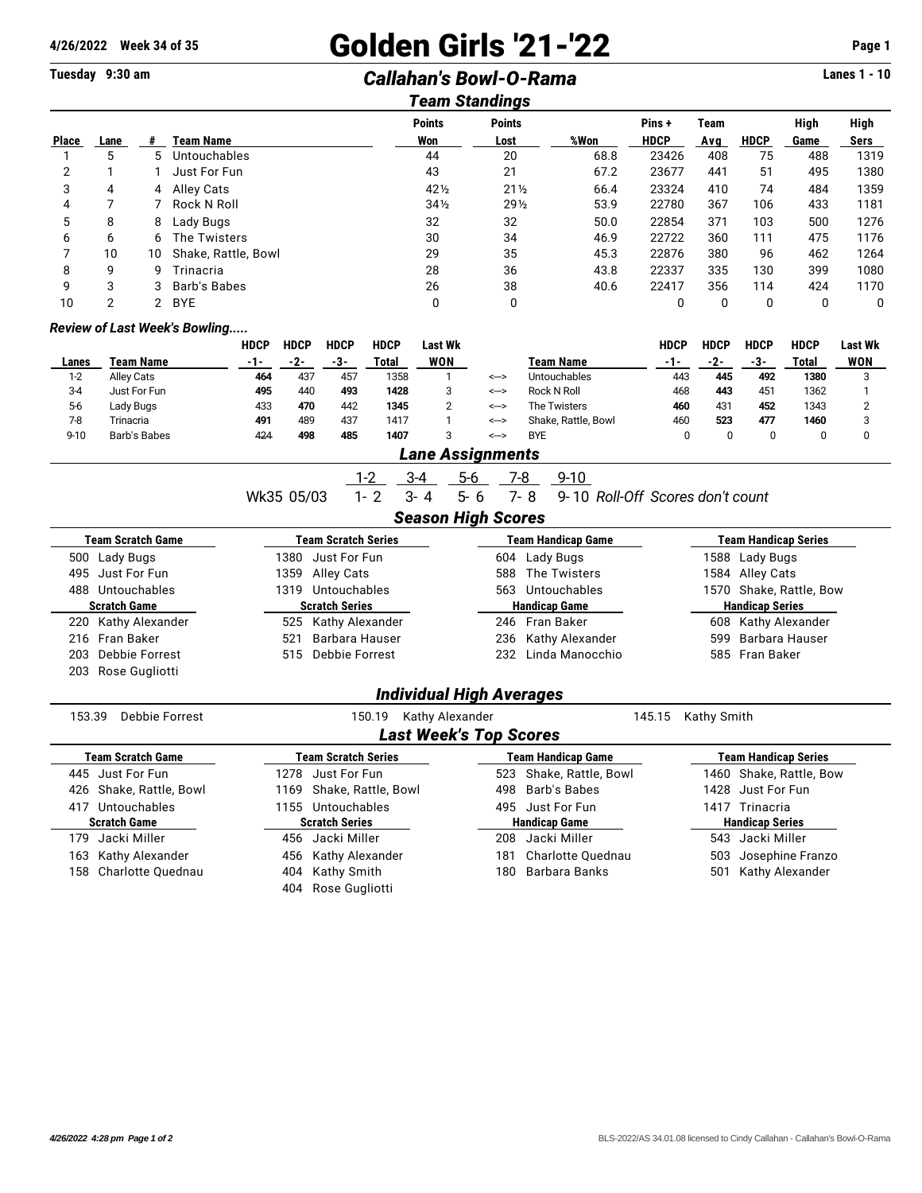# **4/26/2022 Week 34 of 35 Golden Girls '21-'22 Page 1**

## **Tuesday 9:30 am** *Callahan's Bowl-O-Rama* **Lanes 1 - 10**

| Team Standings |      |    |                     |                 |                 |      |             |             |             |      |      |
|----------------|------|----|---------------------|-----------------|-----------------|------|-------------|-------------|-------------|------|------|
|                |      |    |                     | <b>Points</b>   | <b>Points</b>   |      | Pins+       | <b>Team</b> |             | High | High |
| <b>Place</b>   | Lane |    | Team Name           | Won             | Lost            | %Won | <b>HDCP</b> | Avg         | <b>HDCP</b> | Game | Sers |
|                | 5    | 5. | Untouchables        | 44              | 20              | 68.8 | 23426       | 408         | 75          | 488  | 1319 |
|                |      |    | Just For Fun        | 43              | 21              | 67.2 | 23677       | 441         | 51          | 495  | 1380 |
| 3              | 4    | 4  | Alley Cats          | 421/2           | $21\frac{1}{2}$ | 66.4 | 23324       | 410         | 74          | 484  | 1359 |
| 4              |      |    | Rock N Roll         | $34\frac{1}{2}$ | 29 <sub>2</sub> | 53.9 | 22780       | 367         | 106         | 433  | 1181 |
| 5              | 8    | 8  | Lady Bugs           | 32              | 32              | 50.0 | 22854       | 371         | 103         | 500  | 1276 |
| 6              | 6    | 6  | The Twisters        | 30              | 34              | 46.9 | 22722       | 360         | 111         | 475  | 1176 |
|                | 10   | 10 | Shake, Rattle, Bowl | 29              | 35              | 45.3 | 22876       | 380         | 96          | 462  | 1264 |
| 8              | 9    | 9  | Trinacria           | 28              | 36              | 43.8 | 22337       | 335         | 130         | 399  | 1080 |
| 9              | 3    | 3  | Barb's Babes        | 26              | 38              | 40.6 | 22417       | 356         | 114         | 424  | 1170 |
| 10             | 2    | 2  | <b>BYE</b>          | 0               | 0               |      | 0           | 0           | 0           |      | 0    |

#### *Review of Last Week's Bowling.....*

|          |                   | HDCP | <b>HDCP</b> | <b>HDCP</b> | <b>HDCP</b> | Last Wk |      |                     | HDCP | <b>HDCP</b> | <b>HDCP</b> | <b>HDCP</b> | Last Wk |
|----------|-------------------|------|-------------|-------------|-------------|---------|------|---------------------|------|-------------|-------------|-------------|---------|
| Lanes    | Team Name         | -1-  | -2-         | -3-         | Total       | WON     |      | Team Name           | -1-  | -2-         | -3-         | Total       | WON     |
| $1-2$    | <b>Alley Cats</b> | 464  | 437         | 457         | 1358        |         | <--> | <b>Untouchables</b> | 443  | 445         | 492         | 1380        |         |
| $3-4$    | Just For Fun      | 495  | 440         | 493         | 1428        |         | <--> | Rock N Roll         | 468  | 443         | 451         | 1362        |         |
| $5-6$    | Lady Bugs         | 433  | 470         | 442         | 1345        |         | <--> | The Twisters        | 460  | 431         | 452         | 1343        |         |
| $7-8$    | Trinacria         | 491  | 489         | 437         | 1417        |         | <--> | Shake, Rattle, Bowl | 460  | 523         | 477         | 1460        |         |
| $9 - 10$ | Barb's Babes      | 424  | 498         | 485         | 1407        |         | <--> | <b>BYE</b>          |      |             |             |             |         |

### *Lane Assignments*

|                          |                       |         | _____________________ |                    |                                  |  |                         |  |  |
|--------------------------|-----------------------|---------|-----------------------|--------------------|----------------------------------|--|-------------------------|--|--|
|                          | -1-2                  | $3 - 4$ | 5-6                   | 7-8                | $9 - 10$                         |  |                         |  |  |
|                          | Wk35 05/03<br>$1 - 2$ | $3 - 4$ | $5 - 6$               | 7-8                | 9-10 Roll-Off Scores don't count |  |                         |  |  |
|                          |                       |         |                       |                    |                                  |  |                         |  |  |
| <b>Team Scratch Game</b> | Team Scratch Series   |         |                       | Team Handicap Game |                                  |  | Team Handicap Series    |  |  |
| 500 Lady Bugs            | Just For Fun<br>1380  |         |                       |                    | 604 Lady Bugs                    |  | 1588 Lady Bugs          |  |  |
| 495 Just For Fun         | 1359 Alley Cats       |         |                       |                    | 588 The Twisters                 |  | 1584 Alley Cats         |  |  |
| 488 Untouchables         | 1319 Untouchables     |         |                       |                    | 563 Untouchables                 |  | 1570 Shake, Rattle, Bow |  |  |
| <b>Scratch Game</b>      | <b>Scratch Series</b> |         |                       |                    | <b>Handicap Game</b>             |  | <b>Handicap Series</b>  |  |  |
| 220 Kathy Alexander      | 525 Kathy Alexander   |         |                       |                    | 246 Fran Baker                   |  | 608 Kathy Alexander     |  |  |
| 216 Fran Baker           | Barbara Hauser<br>521 |         |                       |                    | 236 Kathy Alexander              |  | 599 Barbara Hauser      |  |  |
| 203 Debbie Forrest       | Debbie Forrest<br>515 |         |                       |                    | 232 Linda Manocchio              |  | 585 Fran Baker          |  |  |
|                          |                       |         |                       |                    |                                  |  |                         |  |  |

## 203 Rose Gugliotti

### *Individual High Averages*

153.39 Debbie Forrest 150.19 Kathy Alexander 145.15 Kathy Smith *Last Week's Top Scores*

| LASI MEEKS TOD SCOIES    |                            |                          |                             |  |  |  |  |  |  |  |
|--------------------------|----------------------------|--------------------------|-----------------------------|--|--|--|--|--|--|--|
| <b>Team Scratch Game</b> | <b>Team Scratch Series</b> | Team Handicap Game       | <b>Team Handicap Series</b> |  |  |  |  |  |  |  |
| 445 Just For Fun         | 1278 Just For Fun          | 523 Shake, Rattle, Bowl  | 1460 Shake, Rattle, Bow     |  |  |  |  |  |  |  |
| 426 Shake, Rattle, Bowl  | 1169 Shake, Rattle, Bowl   | 498 Barb's Babes         | 1428 Just For Fun           |  |  |  |  |  |  |  |
| 417 Untouchables         | 1155 Untouchables          | 495 Just For Fun         | Trinacria<br>1417           |  |  |  |  |  |  |  |
| <b>Scratch Game</b>      | <b>Scratch Series</b>      | <b>Handicap Game</b>     | <b>Handicap Series</b>      |  |  |  |  |  |  |  |
| Jacki Miller<br>179      | 456 Jacki Miller           | Jacki Miller<br>208      | 543 Jacki Miller            |  |  |  |  |  |  |  |
| 163 Kathy Alexander      | 456 Kathy Alexander        | Charlotte Ouednau<br>181 | 503 Josephine Franzo        |  |  |  |  |  |  |  |
| 158 Charlotte Quednau    | 404 Kathy Smith            | 180 Barbara Banks        | Kathy Alexander<br>501      |  |  |  |  |  |  |  |
|                          | 404 Rose Gugliotti         |                          |                             |  |  |  |  |  |  |  |
|                          |                            |                          |                             |  |  |  |  |  |  |  |